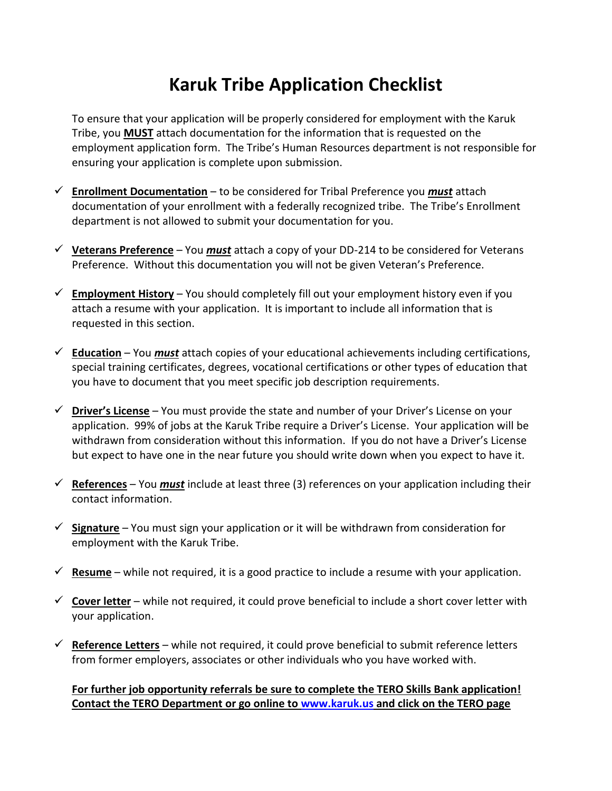# **Karuk Tribe Application Checklist**

To ensure that your application will be properly considered for employment with the Karuk Tribe, you **MUST** attach documentation for the information that is requested on the employment application form. The Tribe's Human Resources department is not responsible for ensuring your application is complete upon submission.

- **Enrollment Documentation** to be considered for Tribal Preference you *must* attach documentation of your enrollment with a federally recognized tribe. The Tribe's Enrollment department is not allowed to submit your documentation for you.
- **Veterans Preference** You *must* attach a copy of your DD-214 to be considered for Veterans Preference. Without this documentation you will not be given Veteran's Preference.
- **Employment History** You should completely fill out your employment history even if you attach a resume with your application. It is important to include all information that is requested in this section.
- **Education** You *must* attach copies of your educational achievements including certifications, special training certificates, degrees, vocational certifications or other types of education that you have to document that you meet specific job description requirements.
- **Driver's License** You must provide the state and number of your Driver's License on your application. 99% of jobs at the Karuk Tribe require a Driver's License. Your application will be withdrawn from consideration without this information. If you do not have a Driver's License but expect to have one in the near future you should write down when you expect to have it.
- **References** You *must* include at least three (3) references on your application including their contact information.
- **Signature** You must sign your application or it will be withdrawn from consideration for employment with the Karuk Tribe.
- $\checkmark$  **Resume** while not required, it is a good practice to include a resume with your application.
- **Cover letter** while not required, it could prove beneficial to include a short cover letter with your application.
- **Reference Letters** while not required, it could prove beneficial to submit reference letters from former employers, associates or other individuals who you have worked with.

## **For further job opportunity referrals be sure to complete the TERO Skills Bank application! Contact the TERO Department or go online to [www.karuk.us](http://www.karuk.us/) and click on the TERO page**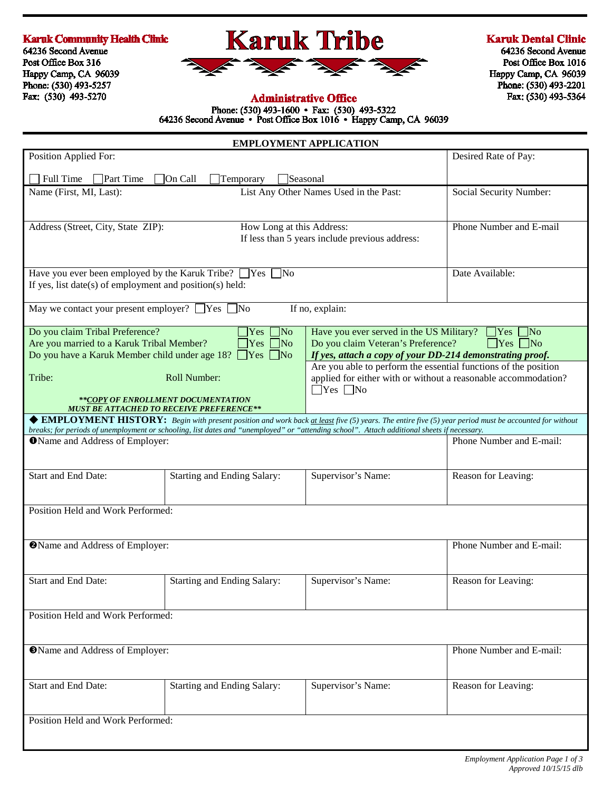#### **Karuk Community Health Clinic**

64236 Second Avenue Post Office Box 316 Happy Camp, CA 96039 Phone: (530) 493-5257 Fax: (530) 493-5270



#### **Karuk Dental Clinic**

64236 Second Avenue Post Office Box 1016 Happy Camp, CA 96039 Phone: (530) 493-2201 Fax: (530) 493-5364

#### **Administrative Office**

Phone: (530) 493-1600 • Fax: (530) 493-5322<br>64236 Second Avenue • Post Office Box 1016 • Happy Camp, CA 96039

| <b>EMPLOYMENT APPLICATION</b>                                                                                                                                                                                                                                                                                                               |                                                                                                                                             |                                                                   |                                                                                                                                   |  |  |  |  |
|---------------------------------------------------------------------------------------------------------------------------------------------------------------------------------------------------------------------------------------------------------------------------------------------------------------------------------------------|---------------------------------------------------------------------------------------------------------------------------------------------|-------------------------------------------------------------------|-----------------------------------------------------------------------------------------------------------------------------------|--|--|--|--|
| Position Applied For:                                                                                                                                                                                                                                                                                                                       |                                                                                                                                             | Desired Rate of Pay:                                              |                                                                                                                                   |  |  |  |  |
| Full Time<br><b>Part Time</b>                                                                                                                                                                                                                                                                                                               | On Call<br>Temporary                                                                                                                        | Seasonal                                                          |                                                                                                                                   |  |  |  |  |
| Name (First, MI, Last):                                                                                                                                                                                                                                                                                                                     |                                                                                                                                             | List Any Other Names Used in the Past:<br>Social Security Number: |                                                                                                                                   |  |  |  |  |
| Address (Street, City, State ZIP):                                                                                                                                                                                                                                                                                                          | How Long at this Address:                                                                                                                   | If less than 5 years include previous address:                    | Phone Number and E-mail                                                                                                           |  |  |  |  |
| Have you ever been employed by the Karuk Tribe? $\Box$ Yes $\Box$ No<br>If yes, list date(s) of employment and position(s) held:                                                                                                                                                                                                            | Date Available:                                                                                                                             |                                                                   |                                                                                                                                   |  |  |  |  |
| May we contact your present employer? $\Box$ Yes $\Box$ No<br>If no, explain:                                                                                                                                                                                                                                                               |                                                                                                                                             |                                                                   |                                                                                                                                   |  |  |  |  |
| Do you claim Tribal Preference?<br>$\Box$ No<br>Have you ever served in the US Military?<br> Yes <br>Are you married to a Karuk Tribal Member?<br>Do you claim Veteran's Preference?<br>$\gamma$ Yes<br>$\neg$ No<br>Do you have a Karuk Member child under age 18? ■ Yes ■ No<br>If yes, attach a copy of your DD-214 demonstrating proof. |                                                                                                                                             |                                                                   | $\bigcap$ Yes $\bigcap$ No<br>$\Box$ Yes $\Box$ No                                                                                |  |  |  |  |
| Tribe:<br>Roll Number:<br>$\Box$ Yes $\Box$ No<br>**COPY OF ENROLLMENT DOCUMENTATION                                                                                                                                                                                                                                                        |                                                                                                                                             |                                                                   | Are you able to perform the essential functions of the position<br>applied for either with or without a reasonable accommodation? |  |  |  |  |
| <b>MUST BE ATTACHED TO RECEIVE PREFERENCE**</b><br>◆ EMPLOYMENT HISTORY: Begin with present position and work back at least five (5) years. The entire five (5) year period must be accounted for without                                                                                                                                   |                                                                                                                                             |                                                                   |                                                                                                                                   |  |  |  |  |
| OName and Address of Employer:                                                                                                                                                                                                                                                                                                              | breaks; for periods of unemployment or schooling, list dates and "unemployed" or "attending school". Attach additional sheets if necessary. |                                                                   | Phone Number and E-mail:                                                                                                          |  |  |  |  |
| Start and End Date:                                                                                                                                                                                                                                                                                                                         | <b>Starting and Ending Salary:</b>                                                                                                          | Supervisor's Name:                                                | Reason for Leaving:                                                                                                               |  |  |  |  |
| Position Held and Work Performed:                                                                                                                                                                                                                                                                                                           |                                                                                                                                             |                                                                   |                                                                                                                                   |  |  |  |  |
| <b>@Name and Address of Employer:</b>                                                                                                                                                                                                                                                                                                       |                                                                                                                                             |                                                                   | Phone Number and E-mail:                                                                                                          |  |  |  |  |
| Start and End Date:                                                                                                                                                                                                                                                                                                                         | Starting and Ending Salary:                                                                                                                 | Supervisor's Name:                                                | Reason for Leaving:                                                                                                               |  |  |  |  |
| Position Held and Work Performed:                                                                                                                                                                                                                                                                                                           |                                                                                                                                             |                                                                   |                                                                                                                                   |  |  |  |  |
| <b>OName and Address of Employer:</b>                                                                                                                                                                                                                                                                                                       |                                                                                                                                             |                                                                   | Phone Number and E-mail:                                                                                                          |  |  |  |  |
| Start and End Date:                                                                                                                                                                                                                                                                                                                         | Starting and Ending Salary:                                                                                                                 | Supervisor's Name:                                                | Reason for Leaving:                                                                                                               |  |  |  |  |
| Position Held and Work Performed:                                                                                                                                                                                                                                                                                                           |                                                                                                                                             |                                                                   |                                                                                                                                   |  |  |  |  |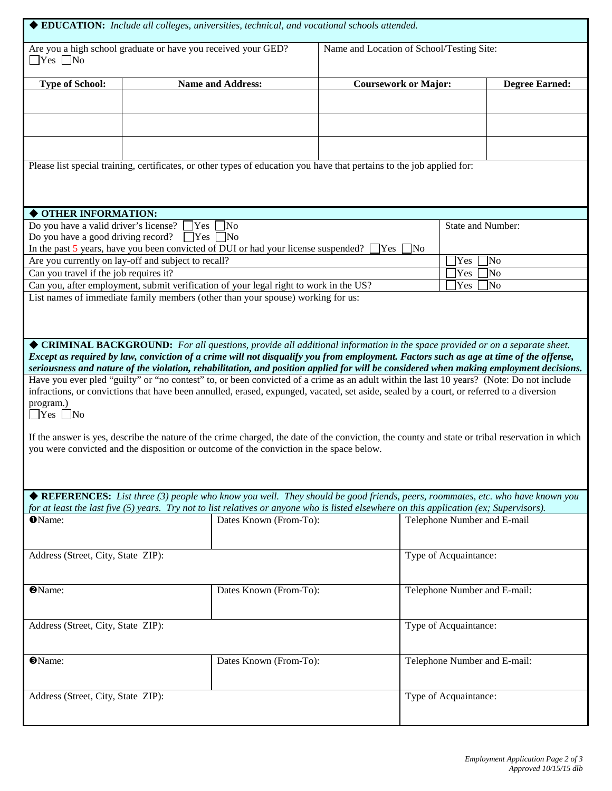|                                                                                                                                                                                                                                                                                                                                                                                                                                                                                                                                                                         |                                                            | ◆ EDUCATION: Include all colleges, universities, technical, and vocational schools attended.                                                                                                                                                                                                                                                                                                                  |                             |                              |                       |  |
|-------------------------------------------------------------------------------------------------------------------------------------------------------------------------------------------------------------------------------------------------------------------------------------------------------------------------------------------------------------------------------------------------------------------------------------------------------------------------------------------------------------------------------------------------------------------------|------------------------------------------------------------|---------------------------------------------------------------------------------------------------------------------------------------------------------------------------------------------------------------------------------------------------------------------------------------------------------------------------------------------------------------------------------------------------------------|-----------------------------|------------------------------|-----------------------|--|
| Are you a high school graduate or have you received your GED?<br>$\Box$ Yes $\Box$ No                                                                                                                                                                                                                                                                                                                                                                                                                                                                                   |                                                            | Name and Location of School/Testing Site:                                                                                                                                                                                                                                                                                                                                                                     |                             |                              |                       |  |
| <b>Type of School:</b>                                                                                                                                                                                                                                                                                                                                                                                                                                                                                                                                                  |                                                            | <b>Name and Address:</b>                                                                                                                                                                                                                                                                                                                                                                                      | <b>Coursework or Major:</b> |                              | <b>Degree Earned:</b> |  |
|                                                                                                                                                                                                                                                                                                                                                                                                                                                                                                                                                                         |                                                            |                                                                                                                                                                                                                                                                                                                                                                                                               |                             |                              |                       |  |
|                                                                                                                                                                                                                                                                                                                                                                                                                                                                                                                                                                         |                                                            |                                                                                                                                                                                                                                                                                                                                                                                                               |                             |                              |                       |  |
|                                                                                                                                                                                                                                                                                                                                                                                                                                                                                                                                                                         |                                                            | Please list special training, certificates, or other types of education you have that pertains to the job applied for:                                                                                                                                                                                                                                                                                        |                             |                              |                       |  |
|                                                                                                                                                                                                                                                                                                                                                                                                                                                                                                                                                                         |                                                            |                                                                                                                                                                                                                                                                                                                                                                                                               |                             |                              |                       |  |
| ◆ OTHER INFORMATION:                                                                                                                                                                                                                                                                                                                                                                                                                                                                                                                                                    |                                                            |                                                                                                                                                                                                                                                                                                                                                                                                               |                             |                              |                       |  |
| Do you have a valid driver's license? $\Box$ Yes $\Box$ No<br><b>State and Number:</b><br>Do you have a good driving record? $\Box$ Yes $\Box$ No<br>In the past 5 years, have you been convicted of DUI or had your license suspended? $\Box$ Yes                                                                                                                                                                                                                                                                                                                      |                                                            |                                                                                                                                                                                                                                                                                                                                                                                                               |                             |                              |                       |  |
|                                                                                                                                                                                                                                                                                                                                                                                                                                                                                                                                                                         |                                                            |                                                                                                                                                                                                                                                                                                                                                                                                               |                             | No                           |                       |  |
|                                                                                                                                                                                                                                                                                                                                                                                                                                                                                                                                                                         | Are you currently on lay-off and subject to recall?<br>Yes |                                                                                                                                                                                                                                                                                                                                                                                                               |                             |                              | <b>No</b>             |  |
|                                                                                                                                                                                                                                                                                                                                                                                                                                                                                                                                                                         | Can you travel if the job requires it?                     |                                                                                                                                                                                                                                                                                                                                                                                                               |                             | Yes                          | No                    |  |
|                                                                                                                                                                                                                                                                                                                                                                                                                                                                                                                                                                         |                                                            | Can you, after employment, submit verification of your legal right to work in the US?                                                                                                                                                                                                                                                                                                                         |                             | Yes                          | No                    |  |
| List names of immediate family members (other than your spouse) working for us:                                                                                                                                                                                                                                                                                                                                                                                                                                                                                         |                                                            |                                                                                                                                                                                                                                                                                                                                                                                                               |                             |                              |                       |  |
|                                                                                                                                                                                                                                                                                                                                                                                                                                                                                                                                                                         |                                                            | ◆ CRIMINAL BACKGROUND: For all questions, provide all additional information in the space provided or on a separate sheet.<br>Except as required by law, conviction of a crime will not disqualify you from employment. Factors such as age at time of the offense,<br>seriousness and nature of the violation, rehabilitation, and position applied for will be considered when making employment decisions. |                             |                              |                       |  |
| Have you ever pled "guilty" or "no contest" to, or been convicted of a crime as an adult within the last 10 years? (Note: Do not include<br>infractions, or convictions that have been annulled, erased, expunged, vacated, set aside, sealed by a court, or referred to a diversion<br>program.)<br>$\Box$ Yes $\Box$ No<br>If the answer is yes, describe the nature of the crime charged, the date of the conviction, the county and state or tribal reservation in which<br>you were convicted and the disposition or outcome of the conviction in the space below. |                                                            |                                                                                                                                                                                                                                                                                                                                                                                                               |                             |                              |                       |  |
|                                                                                                                                                                                                                                                                                                                                                                                                                                                                                                                                                                         |                                                            |                                                                                                                                                                                                                                                                                                                                                                                                               |                             |                              |                       |  |
| ◆ REFERENCES: List three (3) people who know you well. They should be good friends, peers, roommates, etc. who have known you<br>for at least the last five (5) years. Try not to list relatives or anyone who is listed elsewhere on this application (ex; Supervisors).                                                                                                                                                                                                                                                                                               |                                                            |                                                                                                                                                                                                                                                                                                                                                                                                               |                             |                              |                       |  |
| <b>O</b> Name:                                                                                                                                                                                                                                                                                                                                                                                                                                                                                                                                                          |                                                            | Dates Known (From-To):                                                                                                                                                                                                                                                                                                                                                                                        |                             | Telephone Number and E-mail  |                       |  |
| Address (Street, City, State ZIP):                                                                                                                                                                                                                                                                                                                                                                                                                                                                                                                                      |                                                            |                                                                                                                                                                                                                                                                                                                                                                                                               | Type of Acquaintance:       |                              |                       |  |
| <b>@Name:</b>                                                                                                                                                                                                                                                                                                                                                                                                                                                                                                                                                           |                                                            | Dates Known (From-To):                                                                                                                                                                                                                                                                                                                                                                                        |                             | Telephone Number and E-mail: |                       |  |
| Address (Street, City, State ZIP):                                                                                                                                                                                                                                                                                                                                                                                                                                                                                                                                      |                                                            |                                                                                                                                                                                                                                                                                                                                                                                                               |                             | Type of Acquaintance:        |                       |  |
| <b>O</b> Name:                                                                                                                                                                                                                                                                                                                                                                                                                                                                                                                                                          |                                                            | Dates Known (From-To):                                                                                                                                                                                                                                                                                                                                                                                        |                             | Telephone Number and E-mail: |                       |  |
| Address (Street, City, State ZIP):                                                                                                                                                                                                                                                                                                                                                                                                                                                                                                                                      |                                                            |                                                                                                                                                                                                                                                                                                                                                                                                               |                             | Type of Acquaintance:        |                       |  |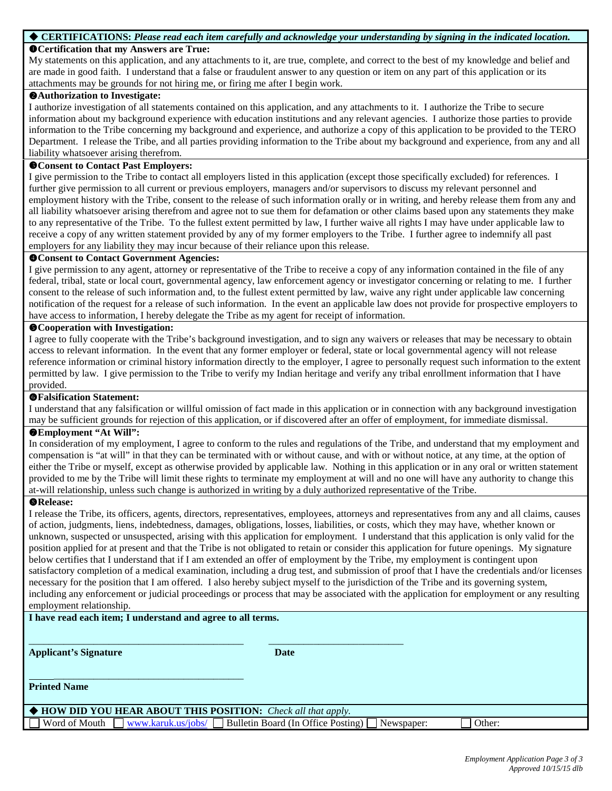#### **CERTIFICATIONS:** *Please read each item carefully and acknowledge your understanding by signing in the indicated location.*

### **Certification that my Answers are True:**

My statements on this application, and any attachments to it, are true, complete, and correct to the best of my knowledge and belief and are made in good faith. I understand that a false or fraudulent answer to any question or item on any part of this application or its attachments may be grounds for not hiring me, or firing me after I begin work.

#### **Authorization to Investigate:**

I authorize investigation of all statements contained on this application, and any attachments to it. I authorize the Tribe to secure information about my background experience with education institutions and any relevant agencies. I authorize those parties to provide information to the Tribe concerning my background and experience, and authorize a copy of this application to be provided to the TERO Department. I release the Tribe, and all parties providing information to the Tribe about my background and experience, from any and all liability whatsoever arising therefrom.

#### **Consent to Contact Past Employers:**

I give permission to the Tribe to contact all employers listed in this application (except those specifically excluded) for references. I further give permission to all current or previous employers, managers and/or supervisors to discuss my relevant personnel and employment history with the Tribe, consent to the release of such information orally or in writing, and hereby release them from any and all liability whatsoever arising therefrom and agree not to sue them for defamation or other claims based upon any statements they make to any representative of the Tribe. To the fullest extent permitted by law, I further waive all rights I may have under applicable law to receive a copy of any written statement provided by any of my former employers to the Tribe. I further agree to indemnify all past employers for any liability they may incur because of their reliance upon this release.

#### **Consent to Contact Government Agencies:**

I give permission to any agent, attorney or representative of the Tribe to receive a copy of any information contained in the file of any federal, tribal, state or local court, governmental agency, law enforcement agency or investigator concerning or relating to me. I further consent to the release of such information and, to the fullest extent permitted by law, waive any right under applicable law concerning notification of the request for a release of such information. In the event an applicable law does not provide for prospective employers to have access to information, I hereby delegate the Tribe as my agent for receipt of information.

#### **Cooperation with Investigation:**

I agree to fully cooperate with the Tribe's background investigation, and to sign any waivers or releases that may be necessary to obtain access to relevant information. In the event that any former employer or federal, state or local governmental agency will not release reference information or criminal history information directly to the employer, I agree to personally request such information to the extent permitted by law. I give permission to the Tribe to verify my Indian heritage and verify any tribal enrollment information that I have provided.

#### **Falsification Statement:**

I understand that any falsification or willful omission of fact made in this application or in connection with any background investigation may be sufficient grounds for rejection of this application, or if discovered after an offer of employment, for immediate dismissal.

#### **Employment "At Will":**

In consideration of my employment, I agree to conform to the rules and regulations of the Tribe, and understand that my employment and compensation is "at will" in that they can be terminated with or without cause, and with or without notice, at any time, at the option of either the Tribe or myself, except as otherwise provided by applicable law. Nothing in this application or in any oral or written statement provided to me by the Tribe will limit these rights to terminate my employment at will and no one will have any authority to change this at-will relationship, unless such change is authorized in writing by a duly authorized representative of the Tribe.

#### **Release:**

I release the Tribe, its officers, agents, directors, representatives, employees, attorneys and representatives from any and all claims, causes of action, judgments, liens, indebtedness, damages, obligations, losses, liabilities, or costs, which they may have, whether known or unknown, suspected or unsuspected, arising with this application for employment. I understand that this application is only valid for the position applied for at present and that the Tribe is not obligated to retain or consider this application for future openings. My signature below certifies that I understand that if I am extended an offer of employment by the Tribe, my employment is contingent upon satisfactory completion of a medical examination, including a drug test, and submission of proof that I have the credentials and/or licenses necessary for the position that I am offered. I also hereby subject myself to the jurisdiction of the Tribe and its governing system, including any enforcement or judicial proceedings or process that may be associated with the application for employment or any resulting employment relationship.

#### **I have read each item; I understand and agree to all terms.**

\_\_\_\_\_\_\_\_\_\_\_\_\_\_\_\_\_\_\_\_\_\_\_\_\_\_\_\_\_\_\_\_\_\_\_\_\_\_

**Applicant's Signature Date** 

**Printed Name**

 **HOW DID YOU HEAR ABOUT THIS POSITION:** *Check all that apply.* Word of Mouth  $\Box$  [www.karuk.us/jobs/](http://www.karuk.us/jobs/)  $\Box$  Bulletin Board (In Office Posting)  $\Box$  Newspaper:  $\Box$  Other:

\_\_\_\_\_\_\_\_\_\_\_\_\_\_\_\_\_\_\_\_\_\_\_\_\_\_\_\_\_\_\_\_\_\_\_\_\_\_\_\_\_\_\_ \_\_\_\_\_\_\_\_\_\_\_\_\_\_\_\_\_\_\_\_\_\_\_\_\_\_\_